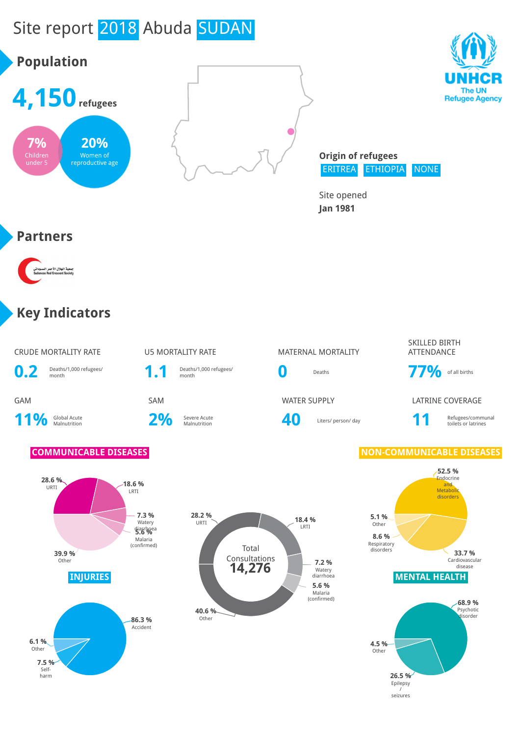# Site report 2018 Abuda SUDAN







Site opened **Jan 1981**

#### **Partners**

۔<br>جمعیة الهلال الأ<<br>Crescent Society

#### **Key Indicators**

CRUDE MORTALITY RATE **U5 MORTALITY RATE** MATERNAL MORTALITY



11% Global Acute

2% Severe Acute



# Deaths/1,000 refugees/<br>month **0** Deaths **77%** of all births

Severe Acute **1988 1988** Liters/ person/ day **11** Refugees/communal collection and the collection of the Liters/ person/ day

SKILLED BIRTH ATTENDANCE

GAM SAM WATER SUPPLY LATRINE COVERAGE

toilets or latrines



#### **COMMUNICABLE DISEASES NON-COMMUNICABLE DISEASES**



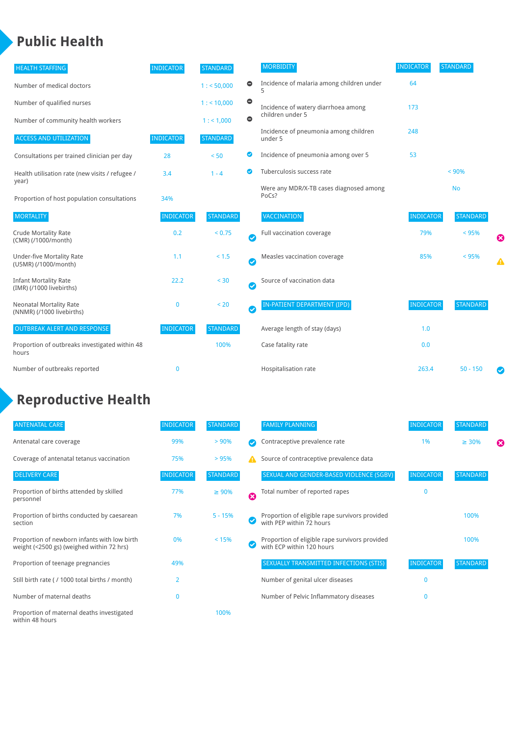#### **Public Health**

| <b>HEALTH STAFFING</b>                                      | <b>INDICATOR</b> | <b>STANDARD</b> |           | <b>MORBIDITY</b>                                 | <b>INDICATOR</b> | <b>STANDARD</b> |   |
|-------------------------------------------------------------|------------------|-----------------|-----------|--------------------------------------------------|------------------|-----------------|---|
| Number of medical doctors                                   |                  | 1: 50,000       | $\bullet$ | Incidence of malaria among children under        | 64               |                 |   |
| Number of qualified nurses                                  |                  | $1:$ < 10,000   | $\bullet$ | Incidence of watery diarrhoea among              | 173              |                 |   |
| Number of community health workers                          |                  | 1:1,000         | $\bullet$ | children under 5                                 |                  |                 |   |
| <b>ACCESS AND UTILIZATION</b>                               | <b>INDICATOR</b> | <b>STANDARD</b> |           | Incidence of pneumonia among children<br>under 5 | 248              |                 |   |
| Consultations per trained clinician per day                 | 28               | < 50            | ◎         | Incidence of pneumonia among over 5              | 53               |                 |   |
| Health utilisation rate (new visits / refugee /             | 3.4              | $1 - 4$         | ◙         | Tuberculosis success rate                        |                  | < 90%           |   |
| year)<br>Proportion of host population consultations        | 34%              |                 |           | Were any MDR/X-TB cases diagnosed among<br>PoCs? |                  | <b>No</b>       |   |
| <b>MORTALITY</b>                                            | <b>INDICATOR</b> | <b>STANDARD</b> |           | <b>VACCINATION</b>                               | <b>INDICATOR</b> | <b>STANDARD</b> |   |
| <b>Crude Mortality Rate</b><br>(CMR) (/1000/month)          | 0.2              | < 0.75          | Ø         | Full vaccination coverage                        | 79%              | < 95%           | Ø |
| <b>Under-five Mortality Rate</b><br>(U5MR) (/1000/month)    | 1.1              | $< 1.5$         | Ø         | Measles vaccination coverage                     | 85%              | < 95%           | Δ |
| <b>Infant Mortality Rate</b><br>(IMR) (/1000 livebirths)    | 22.2             | $30$            | Ø         | Source of vaccination data                       |                  |                 |   |
| <b>Neonatal Mortality Rate</b><br>(NNMR) (/1000 livebirths) | 0                | < 20            | Ø         | IN-PATIENT DEPARTMENT (IPD)                      | <b>INDICATOR</b> | <b>STANDARD</b> |   |
| <b>OUTBREAK ALERT AND RESPONSE</b>                          | <b>INDICATOR</b> | <b>STANDARD</b> |           | Average length of stay (days)                    | 1.0              |                 |   |
| Proportion of outbreaks investigated within 48<br>hours     |                  | 100%            |           | Case fatality rate                               | 0.0              |                 |   |
| Number of outbreaks reported                                | $\mathbf 0$      |                 |           | Hospitalisation rate                             | 263.4            | $50 - 150$      |   |

## **Reproductive Health**

| <b>ANTENATAL CARE</b>                                                                     | <b>INDICATOR</b> | <b>STANDARD</b> |   | <b>FAMILY PLANNING</b>                                                      | <b>INDICATOR</b> | <b>STANDARD</b> |   |
|-------------------------------------------------------------------------------------------|------------------|-----------------|---|-----------------------------------------------------------------------------|------------------|-----------------|---|
| Antenatal care coverage                                                                   | 99%              | > 90%           |   | Contraceptive prevalence rate                                               | 1%               | $\geq 30\%$     | ⊠ |
| Coverage of antenatal tetanus vaccination                                                 | 75%              | >95%            |   | Source of contraceptive prevalence data                                     |                  |                 |   |
| <b>DELIVERY CARE</b>                                                                      | <b>INDICATOR</b> | <b>STANDARD</b> |   | SEXUAL AND GENDER-BASED VIOLENCE (SGBV)                                     | <b>INDICATOR</b> | <b>STANDARD</b> |   |
| Proportion of births attended by skilled<br>personnel                                     | 77%              | $\geq 90\%$     | Ø | Total number of reported rapes                                              | $\mathbf{0}$     |                 |   |
| Proportion of births conducted by caesarean<br>section                                    | 7%               | $5 - 15%$       |   | Proportion of eligible rape survivors provided<br>with PEP within 72 hours  |                  | 100%            |   |
| Proportion of newborn infants with low birth<br>weight (<2500 gs) (weighed within 72 hrs) | 0%               | < 15%           |   | Proportion of eligible rape survivors provided<br>with ECP within 120 hours |                  | 100%            |   |
| Proportion of teenage pregnancies                                                         | 49%              |                 |   | SEXUALLY TRANSMITTED INFECTIONS (STIS)                                      | <b>INDICATOR</b> | <b>STANDARD</b> |   |
| Still birth rate (/ 1000 total births / month)                                            | $\overline{2}$   |                 |   | Number of genital ulcer diseases                                            | $\mathbf{0}$     |                 |   |
| Number of maternal deaths                                                                 | $\mathbf{0}$     |                 |   | Number of Pelvic Inflammatory diseases                                      | $\mathbf{0}$     |                 |   |
| Proportion of maternal deaths investigated<br>within 48 hours                             |                  | 100%            |   |                                                                             |                  |                 |   |